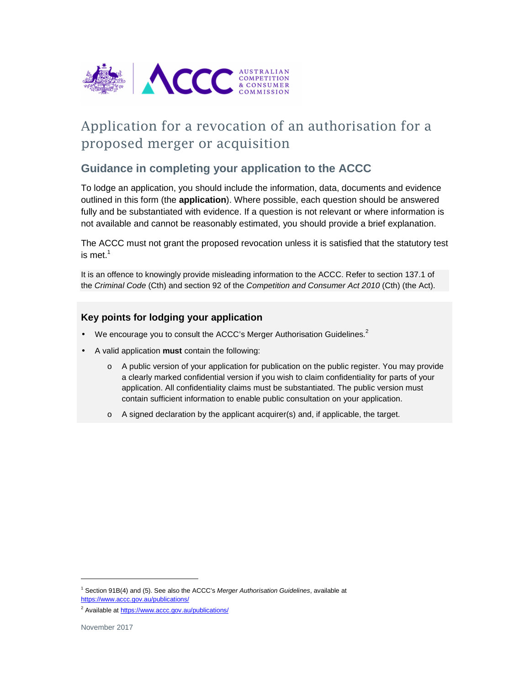

# Application for a revocation of an authorisation for a proposed merger or acquisition

### **Guidance in completing your application to the ACCC**

To lodge an application, you should include the information, data, documents and evidence outlined in this form (the **application**). Where possible, each question should be answered fully and be substantiated with evidence. If a question is not relevant or where information is not available and cannot be reasonably estimated, you should provide a brief explanation.

The ACCC must not grant the proposed revocation unless it is satisfied that the statutory test is met. $1$ 

It is an offence to knowingly provide misleading information to the ACCC. Refer to section 137.1 of the Criminal Code (Cth) and section 92 of the Competition and Consumer Act 2010 (Cth) (the Act).

#### **Key points for lodging your application**

- We encourage you to consult the ACCC's Merger Authorisation Guidelines.<sup>2</sup>
- A valid application **must** contain the following:
	- o A public version of your application for publication on the public register. You may provide a clearly marked confidential version if you wish to claim confidentiality for parts of your application. All confidentiality claims must be substantiated. The public version must contain sufficient information to enable public consultation on your application.
	- o A signed declaration by the applicant acquirer(s) and, if applicable, the target.

1

<sup>&</sup>lt;sup>1</sup> Section 91B(4) and (5). See also the ACCC's Merger Authorisation Guidelines, available at https://www.accc.gov.au/publications/

<sup>&</sup>lt;sup>2</sup> Available at https://www.accc.gov.au/publications/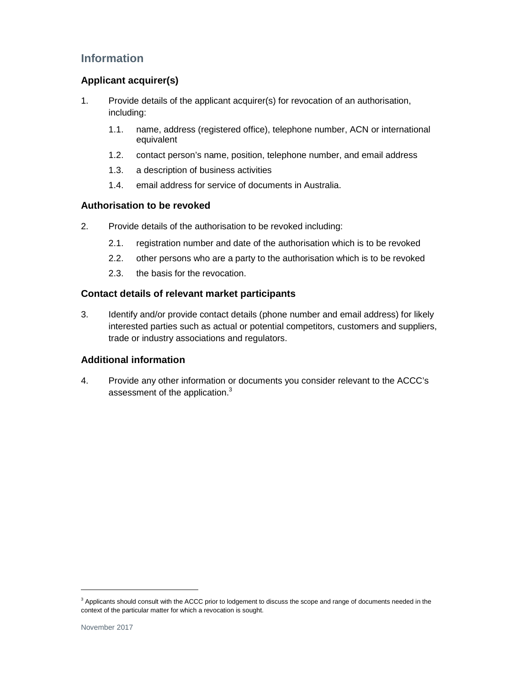## **Information**

#### **Applicant acquirer(s)**

- 1. Provide details of the applicant acquirer(s) for revocation of an authorisation, including:
	- 1.1. name, address (registered office), telephone number, ACN or international equivalent
	- 1.2. contact person's name, position, telephone number, and email address
	- 1.3. a description of business activities
	- 1.4. email address for service of documents in Australia.

#### **Authorisation to be revoked**

- 2. Provide details of the authorisation to be revoked including:
	- 2.1. registration number and date of the authorisation which is to be revoked
	- 2.2. other persons who are a party to the authorisation which is to be revoked
	- 2.3. the basis for the revocation.

#### **Contact details of relevant market participants**

3. Identify and/or provide contact details (phone number and email address) for likely interested parties such as actual or potential competitors, customers and suppliers, trade or industry associations and regulators.

#### **Additional information**

4. Provide any other information or documents you consider relevant to the ACCC's assessment of the application.<sup>3</sup>

-

<sup>&</sup>lt;sup>3</sup> Applicants should consult with the ACCC prior to lodgement to discuss the scope and range of documents needed in the context of the particular matter for which a revocation is sought.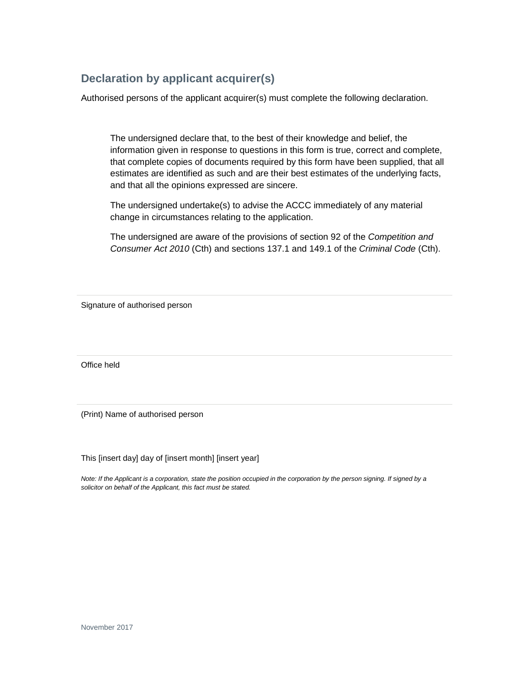# **Declaration by applicant acquirer(s)**

Authorised persons of the applicant acquirer(s) must complete the following declaration.

The undersigned declare that, to the best of their knowledge and belief, the information given in response to questions in this form is true, correct and complete, that complete copies of documents required by this form have been supplied, that all estimates are identified as such and are their best estimates of the underlying facts, and that all the opinions expressed are sincere.

The undersigned undertake(s) to advise the ACCC immediately of any material change in circumstances relating to the application.

The undersigned are aware of the provisions of section 92 of the Competition and Consumer Act 2010 (Cth) and sections 137.1 and 149.1 of the Criminal Code (Cth).

Signature of authorised person

Office held

(Print) Name of authorised person

This [insert day] day of [insert month] [insert year]

Note: If the Applicant is a corporation, state the position occupied in the corporation by the person signing. If signed by a solicitor on behalf of the Applicant, this fact must be stated.